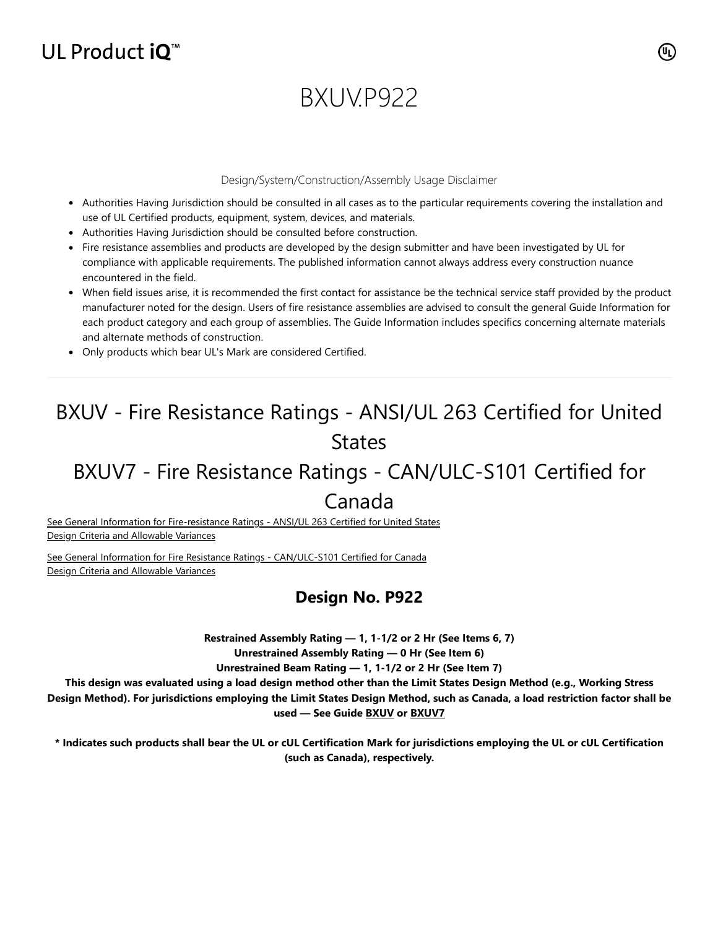## UL Product  $iQ^m$

# BXUV.P922

#### Design/System/Construction/Assembly Usage Disclaimer

- Authorities Having Jurisdiction should be consulted in all cases as to the particular requirements covering the installation and use of UL Certified products, equipment, system, devices, and materials.
- Authorities Having Jurisdiction should be consulted before construction.
- Fire resistance assemblies and products are developed by the design submitter and have been investigated by UL for compliance with applicable requirements. The published information cannot always address every construction nuance encountered in the field.
- When field issues arise, it is recommended the first contact for assistance be the technical service staff provided by the product manufacturer noted for the design. Users of fire resistance assemblies are advised to consult the general Guide Information for each product category and each group of assemblies. The Guide Information includes specifics concerning alternate materials and alternate methods of construction.
- Only products which bear UL's Mark are considered Certified.

## BXUV - Fire Resistance Ratings - ANSI/UL 263 Certified for United States

## BXUV7 - Fire Resistance Ratings - CAN/ULC-S101 Certified for

### Canada

[See General Information for Fire-resistance Ratings - ANSI/UL 263 Certified for United States](https://iq.ulprospector.com/en/cgi-bin/XYV/template/LISEXT/1FRAME/showpage.html?name=BXUV.GuideInfo&ccnshorttitle=Fire-resistance+Ratings+-+ANSI/UL+263&objid=1074327030&cfgid=1073741824&version=versionless&parent_id=1073984818&sequence=1) Design Criteria and Allowable Variances

[See General Information for Fire Resistance Ratings - CAN/ULC-S101 Certified for Canada](https://iq.ulprospector.com/en/cgi-bin/XYV/template/LISEXT/1FRAME/showpage.html?name=BXUV7.GuideInfo&ccnshorttitle=Fire+Resistance+Ratings+-+CAN/ULC-S101+Certified+for+Canada&objid=1074205658&cfgid=1073741824&version=versionless&parent_id=1073984820&sequence=1) Design Criteria and Allowable Variances

### **Design No. P922**

**Restrained Assembly Rating — 1, 1-1/2 or 2 Hr (See Items 6, 7)**

**Unrestrained Assembly Rating — 0 Hr (See Item 6)**

**Unrestrained Beam Rating — 1, 1-1/2 or 2 Hr (See Item 7)**

**This design was evaluated using a load design method other than the Limit States Design Method (e.g., Working Stress Design Method). For jurisdictions employing the Limit States Design Method, such as Canada, a load restriction factor shall be used — See Guide [BXUV](https://database.ul.com/cgi-bin/XYV/template/LISEXT/1FRAME/showpage.html?name=BXUV.GuideInfo&ccnshorttitle=Fire-resistance+Ratings+-+ANSI/UL+263&objid=1074327030&cfgid=1073741824&version=versionless&parent_id=1073984818&sequence=1) or [BXUV7](https://database.ul.com/cgi-bin/XYV/template/LISEXT/1FRAME/showpage.html?name=BXUV7.GuideInfo&ccnshorttitle=Fire+Resistance+Ratings+-+CAN/ULC-S101M+Certified+for+Canada&objid=1074205658&cfgid=1073741824&version=versionless&parent_id=1073984820&sequence=1)**

**\* Indicates such products shall bear the UL or cUL Certification Mark for jurisdictions employing the UL or cUL Certification (such as Canada), respectively.**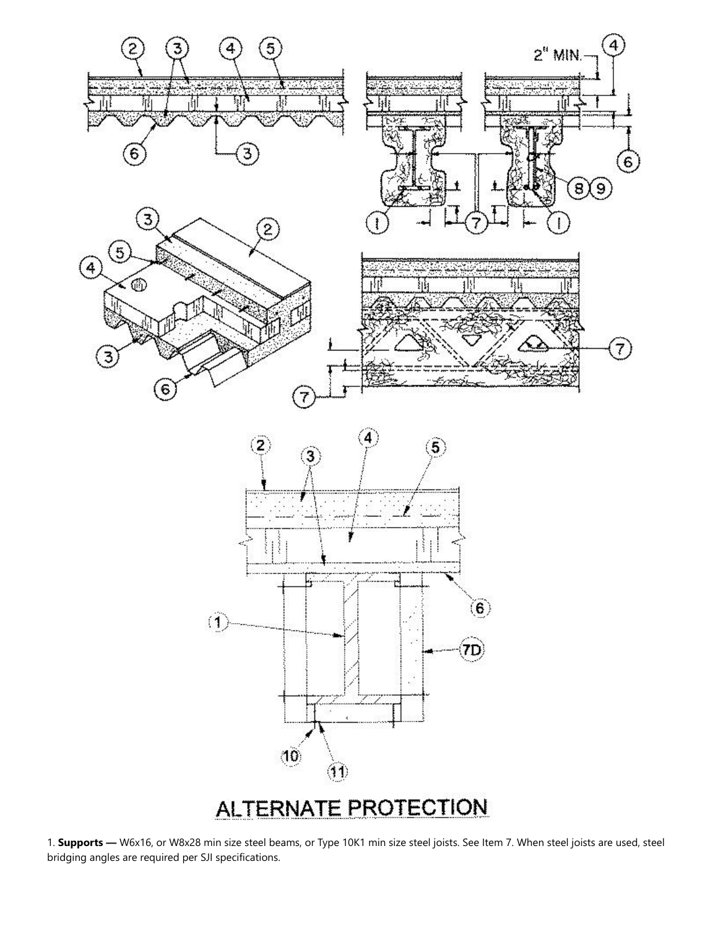

1. **Supports —** W6x16, or W8x28 min size steel beams, or Type 10K1 min size steel joists. See Item 7. When steel joists are used, steel bridging angles are required per SJI specifications.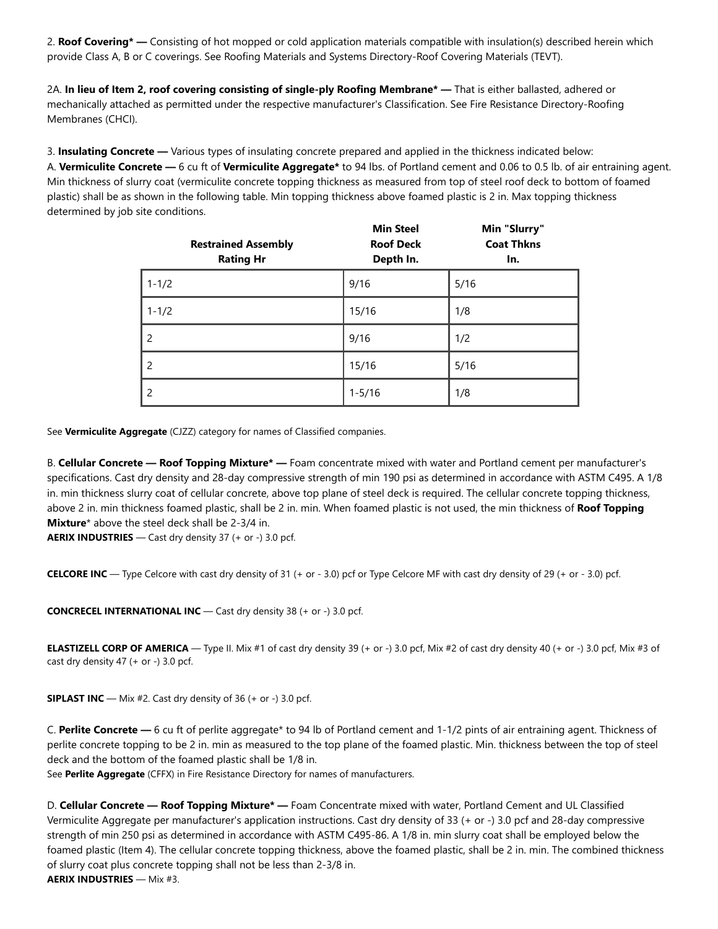2. **Roof Covering\* —** Consisting of hot mopped or cold application materials compatible with insulation(s) described herein which provide Class A, B or C coverings. See Roofing Materials and Systems Directory-Roof Covering Materials (TEVT).

2A. **In lieu of Item 2, roof covering consisting of single-ply Roofing Membrane\* —** That is either ballasted, adhered or mechanically attached as permitted under the respective manufacturer's Classification. See Fire Resistance Directory-Roofing Membranes (CHCI).

3. **Insulating Concrete —** Various types of insulating concrete prepared and applied in the thickness indicated below: A. **Vermiculite Concrete —** 6 cu ft of **Vermiculite Aggregate\*** to 94 lbs. of Portland cement and 0.06 to 0.5 lb. of air entraining agent. Min thickness of slurry coat (vermiculite concrete topping thickness as measured from top of steel roof deck to bottom of foamed plastic) shall be as shown in the following table. Min topping thickness above foamed plastic is 2 in. Max topping thickness determined by job site conditions.

**Min Steel**

| <b>Restrained Assembly</b><br><b>Rating Hr</b> | <b>Min Steel</b><br><b>Roof Deck</b><br>Depth In. | Min "Slurry"<br><b>Coat Thkns</b><br>In. |
|------------------------------------------------|---------------------------------------------------|------------------------------------------|
| $1 - 1/2$                                      | 9/16                                              | 5/16                                     |
| $1 - 1/2$                                      | 15/16                                             | 1/8                                      |
| 2                                              | 9/16                                              | 1/2                                      |
| 2                                              | 15/16                                             | 5/16                                     |
| 2                                              | $1 - 5/16$                                        | 1/8                                      |

See **Vermiculite Aggregate** (CJZZ) category for names of Classified companies.

B. **Cellular Concrete — Roof Topping Mixture\* —** Foam concentrate mixed with water and Portland cement per manufacturer's specifications. Cast dry density and 28-day compressive strength of min 190 psi as determined in accordance with ASTM C495. A 1/8 in. min thickness slurry coat of cellular concrete, above top plane of steel deck is required. The cellular concrete topping thickness, above 2 in. min thickness foamed plastic, shall be 2 in. min. When foamed plastic is not used, the min thickness of **Roof Topping Mixture**\* above the steel deck shall be 2-3/4 in.

**AERIX INDUSTRIES** — Cast dry density 37 (+ or -) 3.0 pcf.

**CELCORE INC** — Type Celcore with cast dry density of 31 (+ or - 3.0) pcf or Type Celcore MF with cast dry density of 29 (+ or - 3.0) pcf.

**CONCRECEL INTERNATIONAL INC** — Cast dry density 38 (+ or -) 3.0 pcf.

**ELASTIZELL CORP OF AMERICA** — Type II. Mix #1 of cast dry density 39 (+ or -) 3.0 pcf, Mix #2 of cast dry density 40 (+ or -) 3.0 pcf, Mix #3 of cast dry density 47 (+ or -) 3.0 pcf.

**SIPLAST INC** — Mix #2. Cast dry density of 36 (+ or -) 3.0 pcf.

C. **Perlite Concrete —** 6 cu ft of perlite aggregate\* to 94 lb of Portland cement and 1-1/2 pints of air entraining agent. Thickness of perlite concrete topping to be 2 in. min as measured to the top plane of the foamed plastic. Min. thickness between the top of steel deck and the bottom of the foamed plastic shall be 1/8 in.

See **Perlite Aggregate** (CFFX) in Fire Resistance Directory for names of manufacturers.

D. **Cellular Concrete — Roof Topping Mixture\* —** Foam Concentrate mixed with water, Portland Cement and UL Classified Vermiculite Aggregate per manufacturer's application instructions. Cast dry density of 33 (+ or -) 3.0 pcf and 28-day compressive strength of min 250 psi as determined in accordance with ASTM C495-86. A 1/8 in. min slurry coat shall be employed below the foamed plastic (Item 4). The cellular concrete topping thickness, above the foamed plastic, shall be 2 in. min. The combined thickness of slurry coat plus concrete topping shall not be less than 2-3/8 in. **AERIX INDUSTRIES** — Mix #3.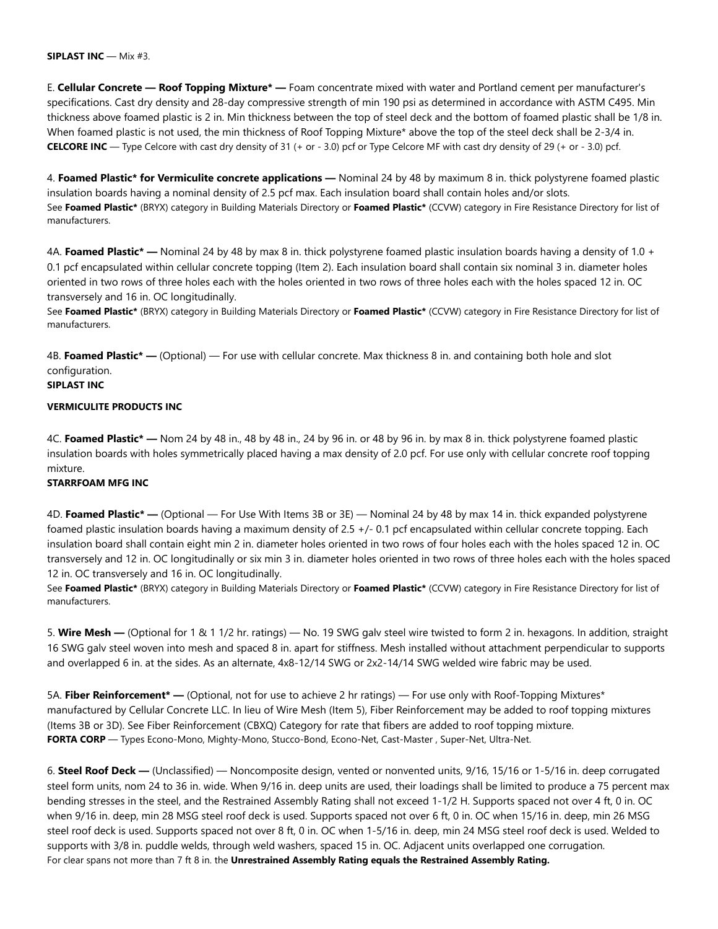#### **SIPLAST INC** — Mix #3.

E. **Cellular Concrete — Roof Topping Mixture\* —** Foam concentrate mixed with water and Portland cement per manufacturer's specifications. Cast dry density and 28-day compressive strength of min 190 psi as determined in accordance with ASTM C495. Min thickness above foamed plastic is 2 in. Min thickness between the top of steel deck and the bottom of foamed plastic shall be 1/8 in. When foamed plastic is not used, the min thickness of Roof Topping Mixture\* above the top of the steel deck shall be 2-3/4 in. **CELCORE INC** — Type Celcore with cast dry density of 31 (+ or - 3.0) pcf or Type Celcore MF with cast dry density of 29 (+ or - 3.0) pcf.

4. **Foamed Plastic\* for Vermiculite concrete applications —** Nominal 24 by 48 by maximum 8 in. thick polystyrene foamed plastic insulation boards having a nominal density of 2.5 pcf max. Each insulation board shall contain holes and/or slots. See **Foamed Plastic\*** (BRYX) category in Building Materials Directory or **Foamed Plastic\*** (CCVW) category in Fire Resistance Directory for list of manufacturers.

4A. **Foamed Plastic\* —** Nominal 24 by 48 by max 8 in. thick polystyrene foamed plastic insulation boards having a density of 1.0 + 0.1 pcf encapsulated within cellular concrete topping (Item 2). Each insulation board shall contain six nominal 3 in. diameter holes oriented in two rows of three holes each with the holes oriented in two rows of three holes each with the holes spaced 12 in. OC transversely and 16 in. OC longitudinally.

See **Foamed Plastic\*** (BRYX) category in Building Materials Directory or **Foamed Plastic\*** (CCVW) category in Fire Resistance Directory for list of manufacturers.

4B. **Foamed Plastic\* —** (Optional) — For use with cellular concrete. Max thickness 8 in. and containing both hole and slot configuration.

#### **SIPLAST INC**

#### **VERMICULITE PRODUCTS INC**

4C. **Foamed Plastic\* —** Nom 24 by 48 in., 48 by 48 in., 24 by 96 in. or 48 by 96 in. by max 8 in. thick polystyrene foamed plastic insulation boards with holes symmetrically placed having a max density of 2.0 pcf. For use only with cellular concrete roof topping mixture.

#### **STARRFOAM MFG INC**

4D. **Foamed Plastic\* —** (Optional — For Use With Items 3B or 3E) — Nominal 24 by 48 by max 14 in. thick expanded polystyrene foamed plastic insulation boards having a maximum density of 2.5 +/- 0.1 pcf encapsulated within cellular concrete topping. Each insulation board shall contain eight min 2 in. diameter holes oriented in two rows of four holes each with the holes spaced 12 in. OC transversely and 12 in. OC longitudinally or six min 3 in. diameter holes oriented in two rows of three holes each with the holes spaced 12 in. OC transversely and 16 in. OC longitudinally.

See **Foamed Plastic\*** (BRYX) category in Building Materials Directory or **Foamed Plastic\*** (CCVW) category in Fire Resistance Directory for list of manufacturers.

5. **Wire Mesh —** (Optional for 1 & 1 1/2 hr. ratings) — No. 19 SWG galv steel wire twisted to form 2 in. hexagons. In addition, straight 16 SWG galv steel woven into mesh and spaced 8 in. apart for stiffness. Mesh installed without attachment perpendicular to supports and overlapped 6 in. at the sides. As an alternate, 4x8-12/14 SWG or 2x2-14/14 SWG welded wire fabric may be used.

5A. **Fiber Reinforcement\* —** (Optional, not for use to achieve 2 hr ratings) — For use only with Roof-Topping Mixtures\* manufactured by Cellular Concrete LLC. In lieu of Wire Mesh (Item 5), Fiber Reinforcement may be added to roof topping mixtures (Items 3B or 3D). See Fiber Reinforcement (CBXQ) Category for rate that fibers are added to roof topping mixture. **FORTA CORP** — Types Econo-Mono, Mighty-Mono, Stucco-Bond, Econo-Net, Cast-Master , Super-Net, Ultra-Net.

6. **Steel Roof Deck —** (Unclassified) — Noncomposite design, vented or nonvented units, 9/16, 15/16 or 1-5/16 in. deep corrugated steel form units, nom 24 to 36 in. wide. When 9/16 in. deep units are used, their loadings shall be limited to produce a 75 percent max bending stresses in the steel, and the Restrained Assembly Rating shall not exceed 1-1/2 H. Supports spaced not over 4 ft, 0 in. OC when 9/16 in. deep, min 28 MSG steel roof deck is used. Supports spaced not over 6 ft, 0 in. OC when 15/16 in. deep, min 26 MSG steel roof deck is used. Supports spaced not over 8 ft, 0 in. OC when 1-5/16 in. deep, min 24 MSG steel roof deck is used. Welded to supports with 3/8 in. puddle welds, through weld washers, spaced 15 in. OC. Adjacent units overlapped one corrugation. For clear spans not more than 7 ft 8 in. the **Unrestrained Assembly Rating equals the Restrained Assembly Rating.**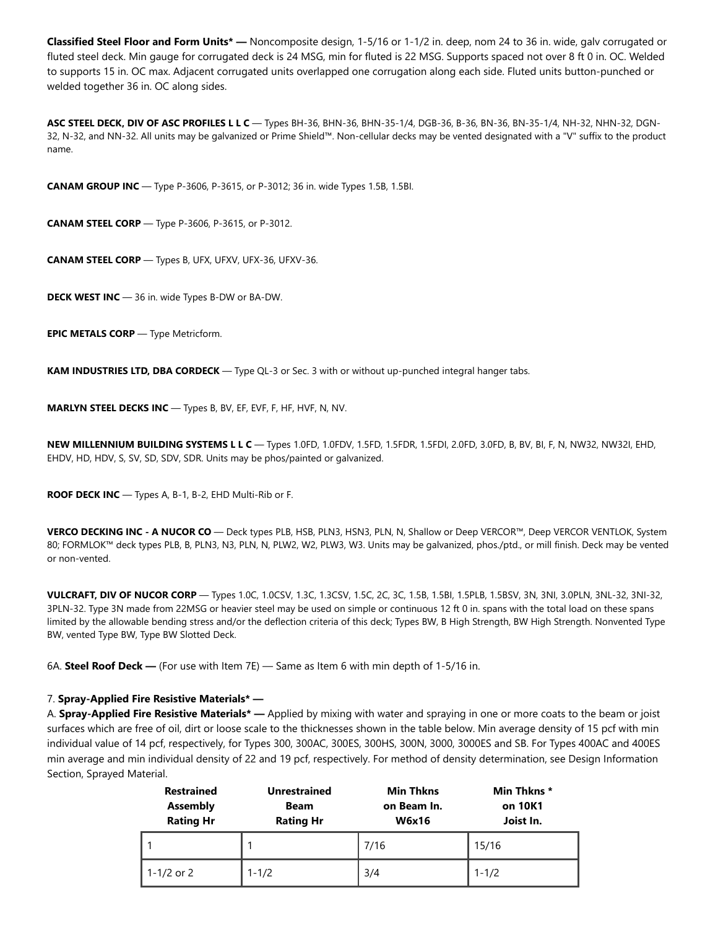**Classified Steel Floor and Form Units\* —** Noncomposite design, 1-5/16 or 1-1/2 in. deep, nom 24 to 36 in. wide, galv corrugated or fluted steel deck. Min gauge for corrugated deck is 24 MSG, min for fluted is 22 MSG. Supports spaced not over 8 ft 0 in. OC. Welded to supports 15 in. OC max. Adjacent corrugated units overlapped one corrugation along each side. Fluted units button-punched or welded together 36 in. OC along sides.

**ASC STEEL DECK, DIV OF ASC PROFILES L L C** — Types BH-36, BHN-36, BHN-35-1/4, DGB-36, B-36, BN-36, BN-35-1/4, NH-32, NHN-32, DGN-32, N-32, and NN-32. All units may be galvanized or Prime Shield™. Non-cellular decks may be vented designated with a "V" suffix to the product name.

**CANAM GROUP INC** — Type P-3606, P-3615, or P-3012; 36 in. wide Types 1.5B, 1.5BI.

**CANAM STEEL CORP** — Type P-3606, P-3615, or P-3012.

**CANAM STEEL CORP** — Types B, UFX, UFXV, UFX-36, UFXV-36.

**DECK WEST INC** — 36 in. wide Types B-DW or BA-DW.

**EPIC METALS CORP** — Type Metricform.

**KAM INDUSTRIES LTD, DBA CORDECK** — Type QL-3 or Sec. 3 with or without up-punched integral hanger tabs.

**MARLYN STEEL DECKS INC** — Types B, BV, EF, EVF, F, HF, HVF, N, NV.

**NEW MILLENNIUM BUILDING SYSTEMS L L C** — Types 1.0FD, 1.0FDV, 1.5FD, 1.5FDR, 1.5FDI, 2.0FD, 3.0FD, B, BV, BI, F, N, NW32, NW32I, EHD, EHDV, HD, HDV, S, SV, SD, SDV, SDR. Units may be phos/painted or galvanized.

**ROOF DECK INC** — Types A, B-1, B-2, EHD Multi-Rib or F.

**VERCO DECKING INC - A NUCOR CO** — Deck types PLB, HSB, PLN3, HSN3, PLN, N, Shallow or Deep VERCOR™, Deep VERCOR VENTLOK, System 80; FORMLOK™ deck types PLB, B, PLN3, N3, PLN, N, PLW2, W2, PLW3, W3. Units may be galvanized, phos./ptd., or mill finish. Deck may be vented or non-vented.

**VULCRAFT, DIV OF NUCOR CORP** — Types 1.0C, 1.0CSV, 1.3C, 1.3CSV, 1.5C, 2C, 3C, 1.5B, 1.5BI, 1.5PLB, 1.5BSV, 3N, 3NI, 3.0PLN, 3NL-32, 3NI-32, 3PLN-32. Type 3N made from 22MSG or heavier steel may be used on simple or continuous 12 ft 0 in. spans with the total load on these spans limited by the allowable bending stress and/or the deflection criteria of this deck; Types BW, B High Strength, BW High Strength. Nonvented Type BW, vented Type BW, Type BW Slotted Deck.

6A. **Steel Roof Deck —** (For use with Item 7E) — Same as Item 6 with min depth of 1-5/16 in.

#### 7. **Spray-Applied Fire Resistive Materials\* —**

A. **Spray-Applied Fire Resistive Materials\* —** Applied by mixing with water and spraying in one or more coats to the beam or joist surfaces which are free of oil, dirt or loose scale to the thicknesses shown in the table below. Min average density of 15 pcf with min individual value of 14 pcf, respectively, for Types 300, 300AC, 300ES, 300HS, 300N, 3000, 3000ES and SB. For Types 400AC and 400ES min average and min individual density of 22 and 19 pcf, respectively. For method of density determination, see Design Information Section, Sprayed Material.

| <b>Restrained</b><br><b>Assembly</b><br><b>Rating Hr</b> | <b>Unrestrained</b><br><b>Beam</b><br><b>Rating Hr</b> | <b>Min Thkns</b><br>on Beam In.<br><b>W6x16</b> | Min Thkns *<br>on 10K1<br>Joist In. |
|----------------------------------------------------------|--------------------------------------------------------|-------------------------------------------------|-------------------------------------|
|                                                          |                                                        | 7/16                                            | 15/16                               |
| 1-1/2 or 2                                               | $1 - 1/2$                                              | 3/4                                             | $1 - 1/2$                           |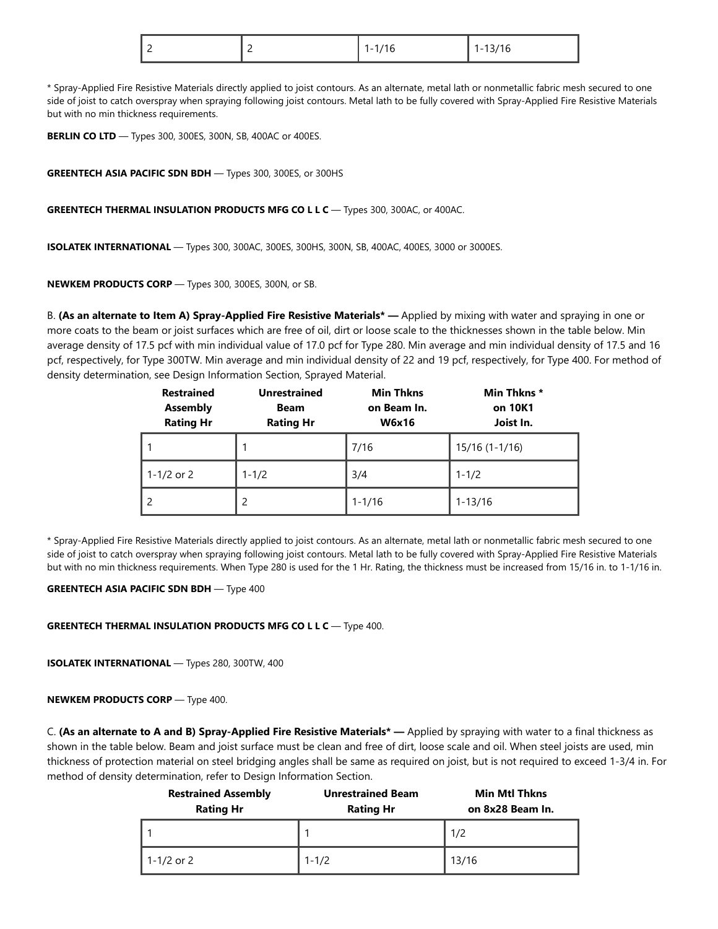|  | -<br><u>_</u> | -<br>. . | -<br>$\cdot$ $\circ$<br>.<br>$\overline{\phantom{a}}$<br>__ |
|--|---------------|----------|-------------------------------------------------------------|
|--|---------------|----------|-------------------------------------------------------------|

\* Spray-Applied Fire Resistive Materials directly applied to joist contours. As an alternate, metal lath or nonmetallic fabric mesh secured to one side of joist to catch overspray when spraying following joist contours. Metal lath to be fully covered with Spray-Applied Fire Resistive Materials but with no min thickness requirements.

**BERLIN CO LTD** — Types 300, 300ES, 300N, SB, 400AC or 400ES.

**GREENTECH ASIA PACIFIC SDN BDH** — Types 300, 300ES, or 300HS

**GREENTECH THERMAL INSULATION PRODUCTS MFG CO L L C** — Types 300, 300AC, or 400AC.

**ISOLATEK INTERNATIONAL** — Types 300, 300AC, 300ES, 300HS, 300N, SB, 400AC, 400ES, 3000 or 3000ES.

**NEWKEM PRODUCTS CORP** — Types 300, 300ES, 300N, or SB.

B. **(As an alternate to Item A) Spray-Applied Fire Resistive Materials\* —** Applied by mixing with water and spraying in one or more coats to the beam or joist surfaces which are free of oil, dirt or loose scale to the thicknesses shown in the table below. Min average density of 17.5 pcf with min individual value of 17.0 pcf for Type 280. Min average and min individual density of 17.5 and 16 pcf, respectively, for Type 300TW. Min average and min individual density of 22 and 19 pcf, respectively, for Type 400. For method of density determination, see Design Information Section, Sprayed Material.

| <b>Restrained</b><br><b>Assembly</b><br><b>Rating Hr</b> | <b>Unrestrained</b><br><b>Beam</b><br><b>Rating Hr</b> | <b>Min Thkns</b><br>on Beam In.<br><b>W6x16</b> | Min Thkns*<br>on 10K1<br>Joist In. |
|----------------------------------------------------------|--------------------------------------------------------|-------------------------------------------------|------------------------------------|
|                                                          |                                                        | 7/16                                            | 15/16 (1-1/16)                     |
| 1-1/2 or 2                                               | $1 - 1/2$                                              | 3/4                                             | $1 - 1/2$                          |
|                                                          | 2                                                      | $1 - 1/16$                                      | $1 - 13/16$                        |

\* Spray-Applied Fire Resistive Materials directly applied to joist contours. As an alternate, metal lath or nonmetallic fabric mesh secured to one side of joist to catch overspray when spraying following joist contours. Metal lath to be fully covered with Spray-Applied Fire Resistive Materials but with no min thickness requirements. When Type 280 is used for the 1 Hr. Rating, the thickness must be increased from 15/16 in. to 1-1/16 in.

#### **GREENTECH ASIA PACIFIC SDN BDH** — Type 400

#### **GREENTECH THERMAL INSULATION PRODUCTS MFG CO L L C** — Type 400.

**ISOLATEK INTERNATIONAL** — Types 280, 300TW, 400

#### **NEWKEM PRODUCTS CORP** — Type 400.

C. **(As an alternate to A and B) Spray-Applied Fire Resistive Materials\* —** Applied by spraying with water to a final thickness as shown in the table below. Beam and joist surface must be clean and free of dirt, loose scale and oil. When steel joists are used, min thickness of protection material on steel bridging angles shall be same as required on joist, but is not required to exceed 1-3/4 in. For method of density determination, refer to Design Information Section.

| <b>Restrained Assembly</b><br><b>Rating Hr</b> | <b>Unrestrained Beam</b><br><b>Rating Hr</b> | <b>Min Mtl Thkns</b><br>on 8x28 Beam In. |
|------------------------------------------------|----------------------------------------------|------------------------------------------|
|                                                |                                              | 1/2                                      |
| 1-1/2 or 2                                     | $1 - 1/2$                                    | 13/16                                    |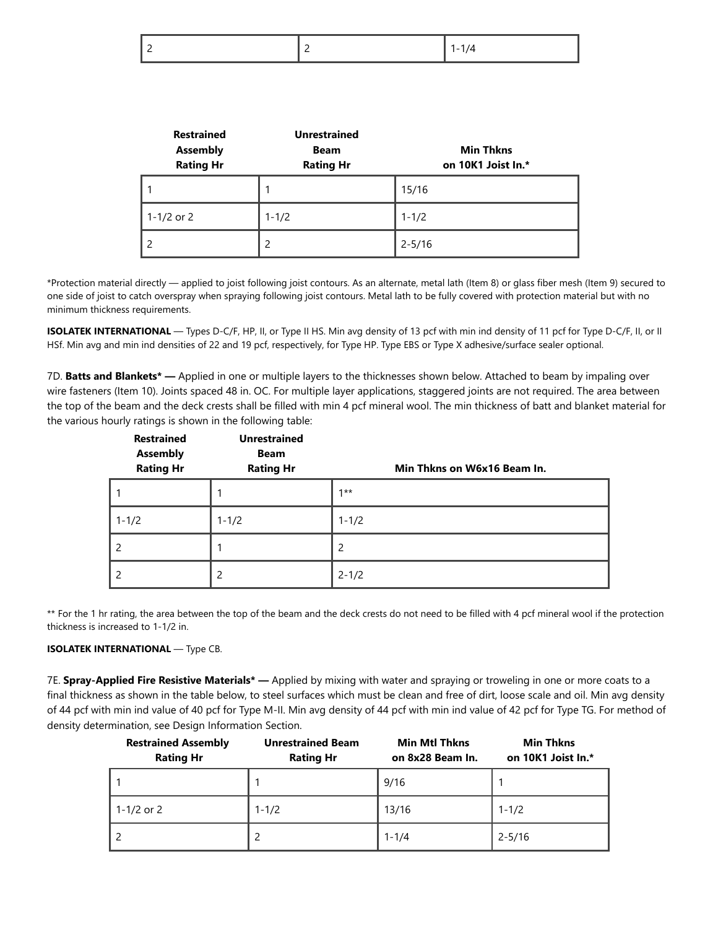|--|--|--|

| <b>Restrained</b><br><b>Assembly</b><br><b>Rating Hr</b> | <b>Unrestrained</b><br><b>Beam</b><br><b>Rating Hr</b> | <b>Min Thkns</b><br>on 10K1 Joist In.* |
|----------------------------------------------------------|--------------------------------------------------------|----------------------------------------|
|                                                          |                                                        | 15/16                                  |
| $1-1/2$ or 2                                             | $1 - 1/2$                                              | $1 - 1/2$                              |
|                                                          | 2                                                      | $2 - 5/16$                             |

\*Protection material directly — applied to joist following joist contours. As an alternate, metal lath (Item 8) or glass fiber mesh (Item 9) secured to one side of joist to catch overspray when spraying following joist contours. Metal lath to be fully covered with protection material but with no minimum thickness requirements.

**ISOLATEK INTERNATIONAL** — Types D-C/F, HP, II, or Type II HS. Min avg density of 13 pcf with min ind density of 11 pcf for Type D-C/F, II, or II HSf. Min avg and min ind densities of 22 and 19 pcf, respectively, for Type HP. Type EBS or Type X adhesive/surface sealer optional.

7D. **Batts and Blankets\* —** Applied in one or multiple layers to the thicknesses shown below. Attached to beam by impaling over wire fasteners (Item 10). Joints spaced 48 in. OC. For multiple layer applications, staggered joints are not required. The area between the top of the beam and the deck crests shall be filled with min 4 pcf mineral wool. The min thickness of batt and blanket material for the various hourly ratings is shown in the following table:

| <b>Restrained</b><br><b>Assembly</b><br><b>Rating Hr</b> | <b>Unrestrained</b><br><b>Beam</b><br><b>Rating Hr</b> | Min Thkns on W6x16 Beam In. |
|----------------------------------------------------------|--------------------------------------------------------|-----------------------------|
|                                                          |                                                        | $1***$                      |
| $1 - 1/2$                                                | $1 - 1/2$                                              | $1 - 1/2$                   |
| $\overline{c}$                                           |                                                        | 2                           |
| $\overline{c}$                                           | 2                                                      | $2 - 1/2$                   |

\*\* For the 1 hr rating, the area between the top of the beam and the deck crests do not need to be filled with 4 pcf mineral wool if the protection thickness is increased to 1-1/2 in.

#### **ISOLATEK INTERNATIONAL** — Type CB.

7E. **Spray-Applied Fire Resistive Materials\* —** Applied by mixing with water and spraying or troweling in one or more coats to a final thickness as shown in the table below, to steel surfaces which must be clean and free of dirt, loose scale and oil. Min avg density of 44 pcf with min ind value of 40 pcf for Type M-II. Min avg density of 44 pcf with min ind value of 42 pcf for Type TG. For method of density determination, see Design Information Section.

| <b>Restrained Assembly</b><br><b>Rating Hr</b> | <b>Unrestrained Beam</b><br><b>Rating Hr</b> | <b>Min Mtl Thkns</b><br>on 8x28 Beam In. | <b>Min Thkns</b><br>on 10K1 Joist In.* |
|------------------------------------------------|----------------------------------------------|------------------------------------------|----------------------------------------|
|                                                |                                              | 9/16                                     |                                        |
| 1-1/2 or 2                                     | $1 - 1/2$                                    | 13/16                                    | $1 - 1/2$                              |
|                                                |                                              | $1 - 1/4$                                | $2 - 5/16$                             |